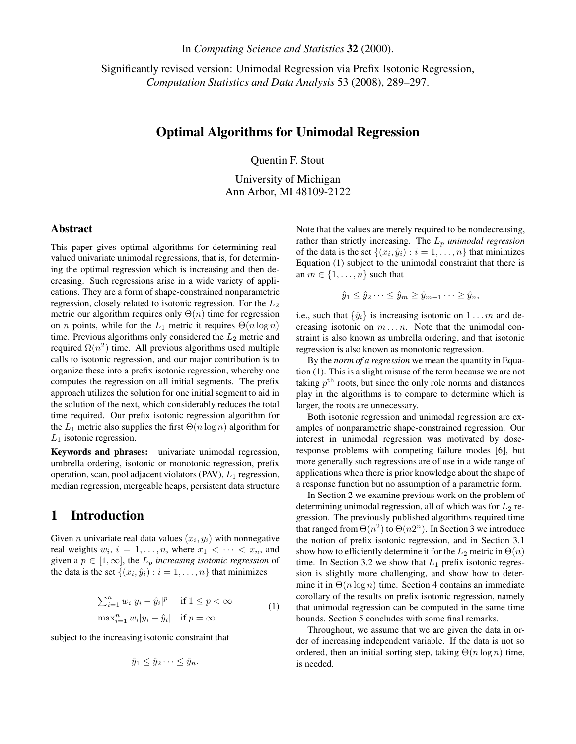In *Computing Science and Statistics* 32 (2000).

Significantly revised version: Unimodal Regression via Prefix Isotonic Regression, *Computation Statistics and Data Analysis* 53 (2008), 289–297.

### Optimal Algorithms for Unimodal Regression

Quentin F. Stout

University of Michigan Ann Arbor, MI 48109-2122

#### Abstract

This paper gives optimal algorithms for determining realvalued univariate unimodal regressions, that is, for determining the optimal regression which is increasing and then decreasing. Such regressions arise in a wide variety of applications. They are a form of shape-constrained nonparametric regression, closely related to isotonic regression. For the  $L_2$ metric our algorithm requires only  $\Theta(n)$  time for regression on *n* points, while for the  $L_1$  metric it requires  $\Theta(n \log n)$ time. Previous algorithms only considered the  $L_2$  metric and required  $\Omega(n^2)$  time. All previous algorithms used multiple calls to isotonic regression, and our major contribution is to organize these into a prefix isotonic regression, whereby one computes the regression on all initial segments. The prefix approach utilizes the solution for one initial segment to aid in the solution of the next, which considerably reduces the total time required. Our prefix isotonic regression algorithm for the  $L_1$  metric also supplies the first  $\Theta(n \log n)$  algorithm for  $L_1$  isotonic regression.

Keywords and phrases: univariate unimodal regression, umbrella ordering, isotonic or monotonic regression, prefix operation, scan, pool adjacent violators (PAV),  $L_1$  regression, median regression, mergeable heaps, persistent data structure

## 1 Introduction

Given *n* univariate real data values  $(x_i, y_i)$  with nonnegative real weights  $w_i$ ,  $i = 1, ..., n$ , where  $x_1 < \cdots < x_n$ , and given a  $p \in [1,\infty]$ , the  $L_p$  *increasing isotonic regression* of the data is the set  $\{(x_i, \hat{y}_i) : i = 1, \dots, n\}$  that minimizes

$$
\sum_{i=1}^{n} w_i |y_i - \hat{y}_i|^p \quad \text{if } 1 \le p < \infty
$$
  

$$
\max_{i=1}^{n} w_i |y_i - \hat{y}_i| \quad \text{if } p = \infty
$$
 (1)

subject to the increasing isotonic constraint that

$$
\hat{y}_1 \leq \hat{y}_2 \cdots \leq \hat{y}_n.
$$

Note that the values are merely required to be nondecreasing, rather than strictly increasing. The  $L_p$  *unimodal regression* of the data is the set  $\{(x_i, \hat{y}_i) : i = 1, \dots, n\}$  that minimizes Equation (1) subject to the unimodal constraint that there is an  $m \in \{1, \ldots, n\}$  such that

$$
\hat{y}_1 \leq \hat{y}_2 \cdots \leq \hat{y}_m \geq \hat{y}_{m-1} \cdots \geq \hat{y}_n,
$$

i.e., such that  $\{\hat{y}_i\}$  is increasing isotonic on  $1 \dots m$  and decreasing isotonic on  $m \dots n$ . Note that the unimodal constraint is also known as umbrella ordering, and that isotonic regression is also known as monotonic regression.

By the *norm of a regression* we mean the quantity in Equation (1). This is a slight misuse of the term because we are not taking  $p^{\text{th}}$  roots, but since the only role norms and distances play in the algorithms is to compare to determine which is larger, the roots are unnecessary.

Both isotonic regression and unimodal regression are examples of nonparametric shape-constrained regression. Our interest in unimodal regression was motivated by doseresponse problems with competing failure modes [6], but more generally such regressions are of use in a wide range of applications when there is prior knowledge about the shape of a response function but no assumption of a parametric form.

In Section 2 we examine previous work on the problem of determining unimodal regression, all of which was for  $L_2$  regression. The previously published algorithms required time that ranged from  $\Theta(n^2)$  to  $\Theta(n2^n)$ . In Section 3 we introduce the notion of prefix isotonic regression, and in Section 3.1 show how to efficiently determine it for the  $L_2$  metric in  $\Theta(n)$ time. In Section 3.2 we show that  $L_1$  prefix isotonic regression is slightly more challenging, and show how to determine it in  $\Theta(n \log n)$  time. Section 4 contains an immediate corollary of the results on prefix isotonic regression, namely that unimodal regression can be computed in the same time bounds. Section 5 concludes with some final remarks.

Throughout, we assume that we are given the data in order of increasing independent variable. If the data is not so ordered, then an initial sorting step, taking  $\Theta(n \log n)$  time, is needed.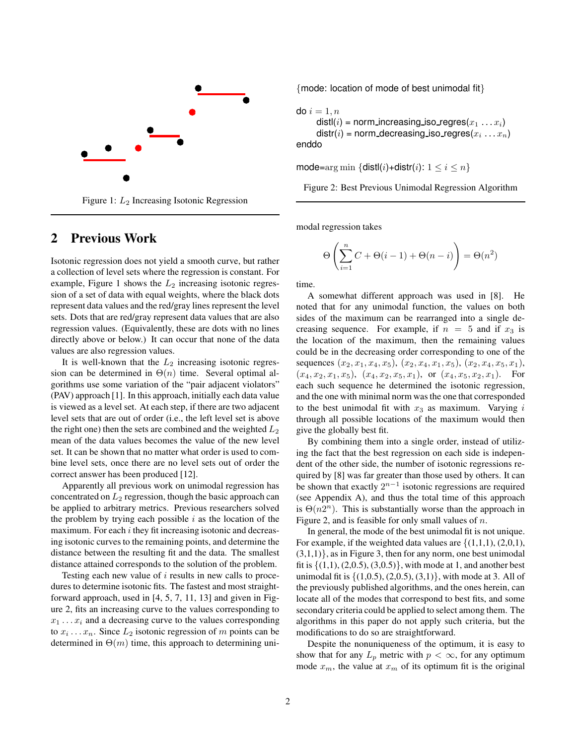

Figure 1:  $L_2$  Increasing Isotonic Regression

## 2 Previous Work

Isotonic regression does not yield a smooth curve, but rather a collection of level sets where the regression is constant. For example, Figure 1 shows the  $L_2$  increasing isotonic regression of a set of data with equal weights, where the black dots represent data values and the red/gray lines represent the level sets. Dots that are red/gray represent data values that are also regression values. (Equivalently, these are dots with no lines directly above or below.) It can occur that none of the data values are also regression values.

It is well-known that the  $L_2$  increasing isotonic regression can be determined in  $\Theta(n)$  time. Several optimal algorithms use some variation of the "pair adjacent violators" (PAV) approach [1]. In this approach, initially each data value is viewed as a level set. At each step, if there are two adjacent level sets that are out of order (i.e., the left level set is above the right one) then the sets are combined and the weighted  $L_2$ mean of the data values becomes the value of the new level set. It can be shown that no matter what order is used to combine level sets, once there are no level sets out of order the correct answer has been produced [12].

Apparently all previous work on unimodal regression has concentrated on  $L_2$  regression, though the basic approach can be applied to arbitrary metrics. Previous researchers solved the problem by trying each possible  $i$  as the location of the maximum. For each  $i$  they fit increasing isotonic and decreasing isotonic curves to the remaining points, and determine the distance between the resulting fit and the data. The smallest distance attained corresponds to the solution of the problem.

Testing each new value of  $i$  results in new calls to procedures to determine isotonic fits. The fastest and most straightforward approach, used in [4, 5, 7, 11, 13] and given in Figure 2, fits an increasing curve to the values corresponding to  $x_1 \ldots x_i$  and a decreasing curve to the values corresponding to  $x_i \dots x_n$ . Since  $L_2$  isotonic regression of m points can be determined in  $\Theta(m)$  time, this approach to determining uni{mode: location of mode of best unimodal fit}

do  $i=1, n$ distl(*i*) = norm\_increasing\_iso\_regres( $x_1 \ldots x_i$ ) distr $(i)$  = norm\_decreasing\_iso\_regres $(x_i\,\ldots x_n)$ enddo

mode=arg min  $\{dist(i)+dist(i): 1 \le i \le n\}$ 

Figure 2: Best Previous Unimodal Regression Algorithm

modal regression takes

$$
\Theta\left(\sum_{i=1}^{n} C + \Theta(i-1) + \Theta(n-i)\right) = \Theta(n^2)
$$

time.

A somewhat different approach was used in [8]. He noted that for any unimodal function, the values on both sides of the maximum can be rearranged into a single decreasing sequence. For example, if  $n = 5$  and if  $x_3$  is the location of the maximum, then the remaining values could be in the decreasing order corresponding to one of the sequences  $(x_2, x_1, x_4, x_5), (x_2, x_4, x_1, x_5), (x_2, x_4, x_5, x_1),$  $(x_4, x_2, x_1, x_5), (x_4, x_2, x_5, x_1),$  or  $(x_4, x_5, x_2, x_1)$ . For each such sequence he determined the isotonic regression, and the one with minimal norm was the one that corresponded to the best unimodal fit with  $x_3$  as maximum. Varying i through all possible locations of the maximum would then give the globally best fit.

By combining them into a single order, instead of utilizing the fact that the best regression on each side is independent of the other side, the number of isotonic regressions required by [8] was far greater than those used by others. It can be shown that exactly  $2^{n-1}$  isotonic regressions are required (see Appendix A), and thus the total time of this approach is  $\Theta(n2^n)$ . This is substantially worse than the approach in Figure 2, and is feasible for only small values of  $n$ .

In general, the mode of the best unimodal fit is not unique. For example, if the weighted data values are  $\{(1,1,1), (2,0,1),$  $(3,1,1)$ , as in Figure 3, then for any norm, one best unimodal fit is  $\{(1,1), (2,0.5), (3,0.5)\}$ , with mode at 1, and another best unimodal fit is  $\{(1,0.5), (2,0.5), (3,1)\}$ , with mode at 3. All of the previously published algorithms, and the ones herein, can locate all of the modes that correspond to best fits, and some secondary criteria could be applied to select among them. The algorithms in this paper do not apply such criteria, but the modifications to do so are straightforward.

Despite the nonuniqueness of the optimum, it is easy to show that for any  $L_p$  metric with  $p < \infty$ , for any optimum mode  $x_m$ , the value at  $x_m$  of its optimum fit is the original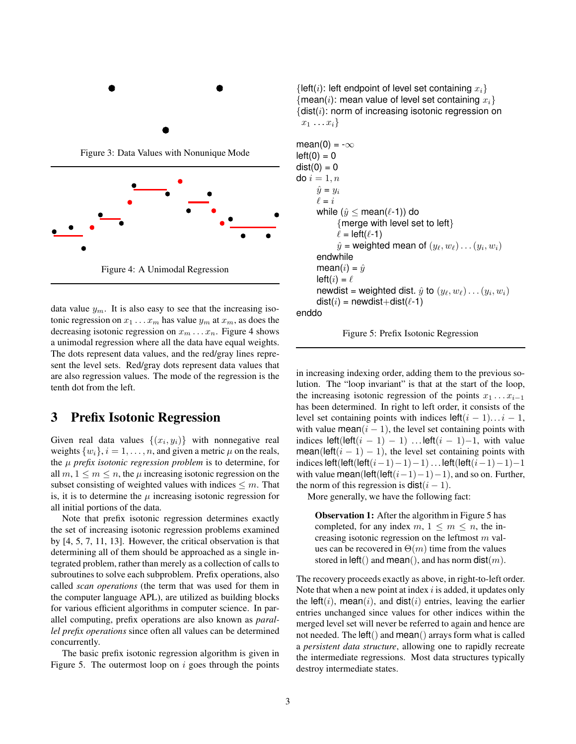

Figure 3: Data Values with Nonunique Mode



data value  $y_m$ . It is also easy to see that the increasing isotonic regression on  $x_1 \ldots x_m$  has value  $y_m$  at  $x_m$ , as does the decreasing isotonic regression on  $x_m \dots x_n$ . Figure 4 shows a unimodal regression where all the data have equal weights. The dots represent data values, and the red/gray lines represent the level sets. Red/gray dots represent data values that are also regression values. The mode of the regression is the tenth dot from the left.

# 3 Prefix Isotonic Regression

Given real data values  $\{(x_i, y_i)\}\$  with nonnegative real weights  $\{w_i\}$ ,  $i = 1, \ldots, n$ , and given a metric  $\mu$  on the reals, the µ *prefix isotonic regression problem* is to determine, for all  $m, 1 \leq m \leq n$ , the  $\mu$  increasing isotonic regression on the subset consisting of weighted values with indices  $\leq m$ . That is, it is to determine the  $\mu$  increasing isotonic regression for all initial portions of the data.

Note that prefix isotonic regression determines exactly the set of increasing isotonic regression problems examined by [4, 5, 7, 11, 13]. However, the critical observation is that determining all of them should be approached as a single integrated problem, rather than merely as a collection of calls to subroutines to solve each subproblem. Prefix operations, also called *scan operations* (the term that was used for them in the computer language APL), are utilized as building blocks for various efficient algorithms in computer science. In parallel computing, prefix operations are also known as *parallel prefix operations* since often all values can be determined concurrently.

The basic prefix isotonic regression algorithm is given in Figure 5. The outermost loop on  $i$  goes through the points {left(i): left endpoint of level set containing  $x_i$ } {mean(i): mean value of level set containing  $x_i$ }  $\{$ dist $(i)$ : norm of increasing isotonic regression on  $x_1 \ldots x_i$ 

mean(0) = 
$$
-\infty
$$
  
\nleft(0) = 0  
\ndist(0) = 0  
\ndo  $i = 1, n$   
\n $\hat{y} = y_i$   
\n $\ell = i$   
\nwhile  $(\hat{y} \le \text{mean}(\ell-1))$  do  
\n{merge with level set to left}  
\n $\ell = \text{left}(\ell-1)$   
\n $\hat{y} = \text{weighted mean of } (y_\ell, w_\ell) \dots (y_i, w_i)$   
\nendwhile  
\nmean(i) =  $\hat{y}$   
\nleft( $i = \ell$   
\nnewdist = weighted dist.  $\hat{y}$  to  $(y_\ell, w_\ell) \dots (y_i, w_i)$   
\ndist( $i$ ) = newdist+dist( $\ell-1$ )





in increasing indexing order, adding them to the previous solution. The "loop invariant" is that at the start of the loop, the increasing isotonic regression of the points  $x_1 \dots x_{i-1}$ has been determined. In right to left order, it consists of the level set containing points with indices  $left(i - 1)...i - 1$ , with value mean $(i - 1)$ , the level set containing points with indices left(left( $i - 1$ ) – 1) ... left( $i - 1$ )–1, with value mean(left( $i - 1$ ) – 1), the level set containing points with indices left(left(left( $i-1$ )−1)−1) ... left(left( $i-1$ )−1)−1 with value mean(left(left( $(i-1)-1$ )–1), and so on. Further, the norm of this regression is  $dist(i - 1)$ .

More generally, we have the following fact:

Observation 1: After the algorithm in Figure 5 has completed, for any index  $m, 1 \leq m \leq n$ , the increasing isotonic regression on the leftmost  $m$  values can be recovered in  $\Theta(m)$  time from the values stored in left() and mean(), and has norm dist $(m)$ .

The recovery proceeds exactly as above, in right-to-left order. Note that when a new point at index  $i$  is added, it updates only the left(i), mean(i), and dist(i) entries, leaving the earlier entries unchanged since values for other indices within the merged level set will never be referred to again and hence are not needed. The left() and mean() arrays form what is called a *persistent data structure*, allowing one to rapidly recreate the intermediate regressions. Most data structures typically destroy intermediate states.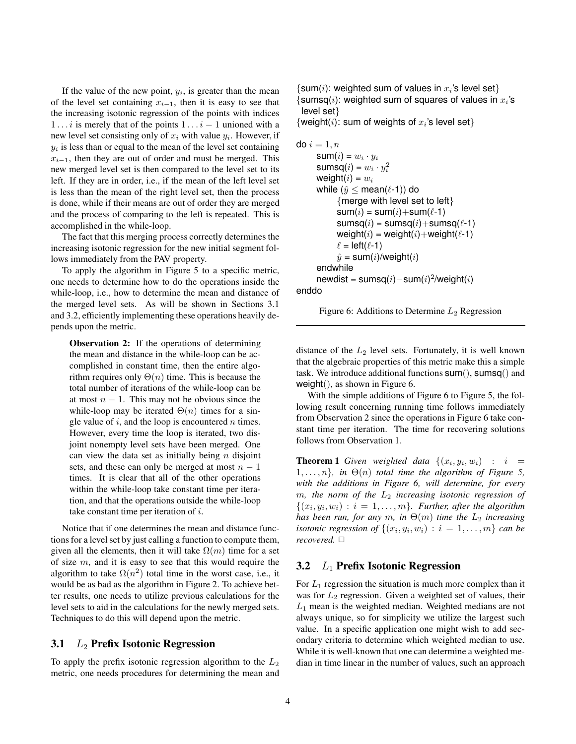If the value of the new point,  $y_i$ , is greater than the mean of the level set containing  $x_{i-1}$ , then it is easy to see that the increasing isotonic regression of the points with indices 1 . . . *i* is merely that of the points  $1 \ldots i - 1$  unioned with a new level set consisting only of  $x_i$  with value  $y_i$ . However, if  $y_i$  is less than or equal to the mean of the level set containing  $x_{i-1}$ , then they are out of order and must be merged. This new merged level set is then compared to the level set to its left. If they are in order, i.e., if the mean of the left level set is less than the mean of the right level set, then the process is done, while if their means are out of order they are merged and the process of comparing to the left is repeated. This is accomplished in the while-loop.

The fact that this merging process correctly determines the increasing isotonic regression for the new initial segment follows immediately from the PAV property.

To apply the algorithm in Figure 5 to a specific metric, one needs to determine how to do the operations inside the while-loop, i.e., how to determine the mean and distance of the merged level sets. As will be shown in Sections 3.1 and 3.2, efficiently implementing these operations heavily depends upon the metric.

**Observation 2:** If the operations of determining the mean and distance in the while-loop can be accomplished in constant time, then the entire algorithm requires only  $\Theta(n)$  time. This is because the total number of iterations of the while-loop can be at most  $n - 1$ . This may not be obvious since the while-loop may be iterated  $\Theta(n)$  times for a single value of  $i$ , and the loop is encountered  $n$  times. However, every time the loop is iterated, two disjoint nonempty level sets have been merged. One can view the data set as initially being  $n$  disjoint sets, and these can only be merged at most  $n - 1$ times. It is clear that all of the other operations within the while-loop take constant time per iteration, and that the operations outside the while-loop take constant time per iteration of  $i$ .

Notice that if one determines the mean and distance functions for a level set by just calling a function to compute them, given all the elements, then it will take  $\Omega(m)$  time for a set of size  $m$ , and it is easy to see that this would require the algorithm to take  $\Omega(n^2)$  total time in the worst case, i.e., it would be as bad as the algorithm in Figure 2. To achieve better results, one needs to utilize previous calculations for the level sets to aid in the calculations for the newly merged sets. Techniques to do this will depend upon the metric.

#### 3.1  $L_2$  Prefix Isotonic Regression

To apply the prefix isotonic regression algorithm to the  $L_2$ metric, one needs procedures for determining the mean and  $\{\mathsf{sum}(i)$ : weighted sum of values in  $x_i$ 's level set}  $\{sum(i):$  weighted sum of squares of values in  $x_i$ 's level set}

{weight(i): sum of weights of  $x_i$ 's level set}

```
do i = 1, n\mathsf{sum}(i) = w_i \cdot y_isumsq(i) = w_i \cdot y_i^2weight(i) = w_iwhile (\hat{y} \leq \text{mean}(\ell-1)) do
            {merge with level set to left}
            sum(i) = sum(i) + sum(\ell-1)sumsq(i) = sumsq(i) + sumsq(\ell-1)weight(i) = weight(i)+weight(\ell-1)
            \ell = \text{left}(\ell-1)\hat{y} = sum(i)/weight(i)
      endwhile
      newdist = sumsq(i) - sum(i)^2/weight(i)
```
enddo

```
Figure 6: Additions to Determine L_2 Regression
```
distance of the  $L_2$  level sets. Fortunately, it is well known that the algebraic properties of this metric make this a simple task. We introduce additional functions sum(), sumsq() and weight(), as shown in Figure 6.

With the simple additions of Figure 6 to Figure 5, the following result concerning running time follows immediately from Observation 2 since the operations in Figure 6 take constant time per iteration. The time for recovering solutions follows from Observation 1.

**Theorem 1** Given weighted data  $\{(x_i, y_i, w_i) : i =$  $\{1, \ldots, n\}$ , in  $\Theta(n)$  *total time the algorithm of Figure 5, with the additions in Figure 6, will determine, for every* m, the norm of the  $L_2$  *increasing isotonic regression of*  $\{(x_i, y_i, w_i) : i = 1, \ldots, m\}$ . Further, after the algorithm *has been run, for any* m, *in*  $\Theta(m)$  *time the*  $L_2$  *increasing isotonic regression of*  $\{(x_i, y_i, w_i) : i = 1, \ldots, m\}$  *can be recovered.* ✷

#### 3.2  $L_1$  Prefix Isotonic Regression

For  $L_1$  regression the situation is much more complex than it was for  $L_2$  regression. Given a weighted set of values, their  $L_1$  mean is the weighted median. Weighted medians are not always unique, so for simplicity we utilize the largest such value. In a specific application one might wish to add secondary criteria to determine which weighted median to use. While it is well-known that one can determine a weighted median in time linear in the number of values, such an approach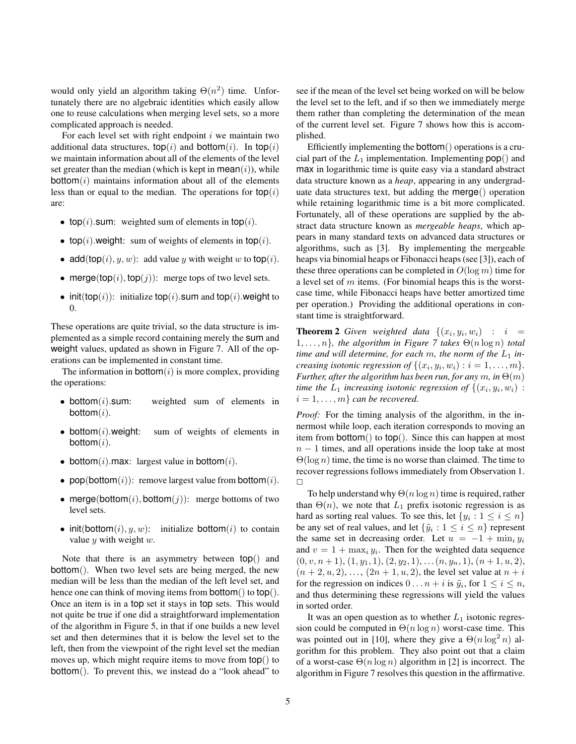would only yield an algorithm taking  $\Theta(n^2)$  time. Unfortunately there are no algebraic identities which easily allow one to reuse calculations when merging level sets, so a more complicated approach is needed.

For each level set with right endpoint  $i$  we maintain two additional data structures,  $top(i)$  and bottom $(i)$ . In top $(i)$ we maintain information about all of the elements of the level set greater than the median (which is kept in  $mean(i)$ ), while  $bottom(i)$  maintains information about all of the elements less than or equal to the median. The operations for  $top(i)$ are:

- top(i).sum: weighted sum of elements in top(i).
- top(i).weight: sum of weights of elements in top(i).
- add(top(i), y, w): add value y with weight w to top(i).
- merge(top(i), top(j)): merge tops of two level sets.
- init(top(i)): initialize top(i).sum and top(i).weight to 0.

These operations are quite trivial, so the data structure is implemented as a simple record containing merely the sum and weight values, updated as shown in Figure 7. All of the operations can be implemented in constant time.

The information in bottom $(i)$  is more complex, providing the operations:

- bottom $(i)$ .sum: weighted sum of elements in bottom $(i)$ .
- bottom $(i)$ . weight: sum of weights of elements in bottom $(i)$ .
- bottom $(i)$ .max: largest value in bottom $(i)$ .
- pop(bottom $(i)$ ): remove largest value from bottom $(i)$ .
- merge(bottom(i), bottom(j)): merge bottoms of two level sets.
- init(bottom $(i), y, w$ ): initialize bottom $(i)$  to contain value  $y$  with weight  $w$ .

Note that there is an asymmetry between top() and bottom(). When two level sets are being merged, the new median will be less than the median of the left level set, and hence one can think of moving items from **bottom**() to **top**(). Once an item is in a top set it stays in top sets. This would not quite be true if one did a straightforward implementation of the algorithm in Figure 5, in that if one builds a new level set and then determines that it is below the level set to the left, then from the viewpoint of the right level set the median moves up, which might require items to move from top() to bottom(). To prevent this, we instead do a "look ahead" to see if the mean of the level set being worked on will be below the level set to the left, and if so then we immediately merge them rather than completing the determination of the mean of the current level set. Figure 7 shows how this is accomplished.

Efficiently implementing the bottom() operations is a crucial part of the  $L_1$  implementation. Implementing  $\text{pop}()$  and max in logarithmic time is quite easy via a standard abstract data structure known as a *heap*, appearing in any undergraduate data structures text, but adding the merge() operation while retaining logarithmic time is a bit more complicated. Fortunately, all of these operations are supplied by the abstract data structure known as *mergeable heaps*, which appears in many standard texts on advanced data structures or algorithms, such as [3]. By implementing the mergeable heaps via binomial heaps or Fibonacci heaps (see [3]), each of these three operations can be completed in  $O(\log m)$  time for a level set of  $m$  items. (For binomial heaps this is the worstcase time, while Fibonacci heaps have better amortized time per operation.) Providing the additional operations in constant time is straightforward.

**Theorem 2** Given weighted data  $\{(x_i, y_i, w_i) : i =$  $1, \ldots, n$ *, the algorithm in Figure 7 takes*  $\Theta(n \log n)$  *total time and will determine, for each m, the norm of the*  $L_1$  *increasing isotonic regression of*  $\{(x_i, y_i, w_i) : i = 1, \ldots, m\}$ . *Further, after the algorithm has been run, for any*  $m$ , *in*  $\Theta(m)$ *time the*  $L_1$  *increasing isotonic regression of*  $\{(x_i, y_i, w_i)$  :  $i = 1, \ldots, m$  *can be recovered.* 

*Proof:* For the timing analysis of the algorithm, in the innermost while loop, each iteration corresponds to moving an item from bottom() to top(). Since this can happen at most  $n - 1$  times, and all operations inside the loop take at most  $\Theta(\log n)$  time, the time is no worse than claimed. The time to recover regressions follows immediately from Observation 1.  $\Box$ 

To help understand why  $\Theta(n \log n)$  time is required, rather than  $\Theta(n)$ , we note that  $L_1$  prefix isotonic regression is as hard as sorting real values. To see this, let  $\{y_i : 1 \le i \le n\}$ be any set of real values, and let  $\{\tilde{y}_i : 1 \leq i \leq n\}$  represent the same set in decreasing order. Let  $u = -1 + \min_i y_i$ and  $v = 1 + \max_i y_i$ . Then for the weighted data sequence  $(0, v, n+1), (1, y<sub>1</sub>, 1), (2, y<sub>2</sub>, 1), \ldots (n, y<sub>n</sub>, 1), (n+1, u, 2),$  $(n + 2, u, 2), \ldots, (2n + 1, u, 2)$ , the level set value at  $n + i$ for the regression on indices  $0 \dots n + i$  is  $\tilde{y}_i$ , for  $1 \le i \le n$ , and thus determining these regressions will yield the values in sorted order.

It was an open question as to whether  $L_1$  isotonic regression could be computed in  $\Theta(n \log n)$  worst-case time. This was pointed out in [10], where they give a  $\Theta(n \log^2 n)$  algorithm for this problem. They also point out that a claim of a worst-case  $\Theta(n \log n)$  algorithm in [2] is incorrect. The algorithm in Figure 7 resolves this question in the affirmative.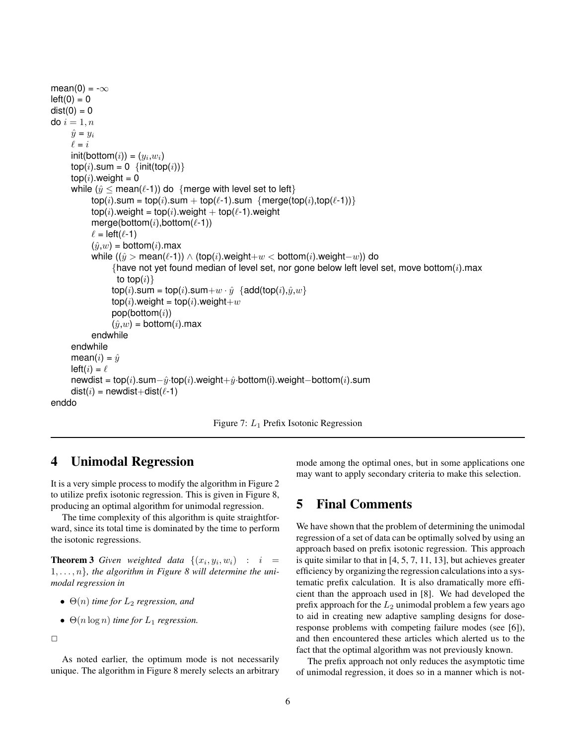```
mean(0) = -\inftyleft(0) = 0dist(0) = 0do i = 1, n\hat{y} = y_i\ell = i\mathsf{init}(\mathsf{bottom}(i)) = (y_i, w_i)\text{top}(i).sum = 0 {init(top(i))}
     top(i).weight = 0
     while (y \leq \text{mean}(\ell-1)) do {merge with level set to left}
           top(i).sum = top(i).sum + top(\ell-1).sum {merge(top(i),top(\ell-1))}
           top(i).weight = top(i).weight + top(\ell-1).weight
           merge(bottom(i),bottom(\ell-1))
           \ell = \text{left}(\ell - 1)(\hat{y}, w) = bottom(i).max
           while ((\hat{y} > mean(ℓ-1)) ∧ (top(i).weight+w < bottom(i).weight-w)) do
                 {have not yet found median of level set, nor gone below left level set, move bottom(i).max
                   to top(i)}
                 top(i).sum = top(i).sum+w \cdot \hat{y} {add(top(i),\hat{y}, w}
                 top(i).weight = top(i).weight+w
                 pop(bottom(i))(\hat{y}, w) = bottom(i).max
           endwhile
     endwhile
     mean(i) = \hat{u}left(i) = \ellnewdist = top(i).sum-\hat{y}·top(i).weight+\hat{y}·bottom(i).weight-bottom(i).sum
     dist(i) = newdist+dist(\ell-1)
enddo
```
Figure 7: L<sup>1</sup> Prefix Isotonic Regression

### 4 Unimodal Regression

It is a very simple process to modify the algorithm in Figure 2 to utilize prefix isotonic regression. This is given in Figure 8, producing an optimal algorithm for unimodal regression.

The time complexity of this algorithm is quite straightforward, since its total time is dominated by the time to perform the isotonic regressions.

**Theorem 3** Given weighted data  $\{(x_i, y_i, w_i) : i =$  $1, \ldots, n$ , the algorithm in Figure 8 will determine the uni*modal regression in*

- $\bullet$   $\Theta(n)$  *time for*  $L_2$  *regression, and*
- $\Theta(n \log n)$  *time for*  $L_1$  *regression.*

 $\Box$ 

As noted earlier, the optimum mode is not necessarily unique. The algorithm in Figure 8 merely selects an arbitrary mode among the optimal ones, but in some applications one may want to apply secondary criteria to make this selection.

## 5 Final Comments

We have shown that the problem of determining the unimodal regression of a set of data can be optimally solved by using an approach based on prefix isotonic regression. This approach is quite similar to that in [4, 5, 7, 11, 13], but achieves greater efficiency by organizing the regression calculations into a systematic prefix calculation. It is also dramatically more efficient than the approach used in [8]. We had developed the prefix approach for the  $L_2$  unimodal problem a few years ago to aid in creating new adaptive sampling designs for doseresponse problems with competing failure modes (see [6]), and then encountered these articles which alerted us to the fact that the optimal algorithm was not previously known.

The prefix approach not only reduces the asymptotic time of unimodal regression, it does so in a manner which is not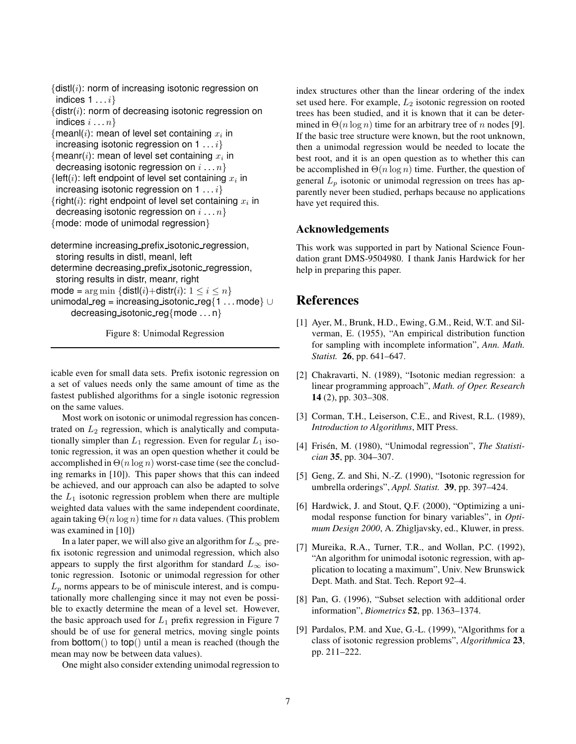${dist}(i)$ : norm of increasing isotonic regression on indices  $1 \ldots i$ 

 ${distr(i)}$ : norm of decreasing isotonic regression on indices  $i \ldots n$ 

```
{{mean}(i): mean of level set containing x_i in
 increasing isotonic regression on 1 \ldots i{meanr(i): mean of level set containing x_i in
 decreasing isotonic regression on i \ldots n{left(i): left endpoint of level set containing x_i in
 increasing isotonic regression on 1 \ldots i{right(i): right endpoint of level set containing x_i in
 decreasing isotonic regression on i \dots n{mode: mode of unimodal regression}
```
determine increasing prefix isotonic regression, storing results in distl, meanl, left determine decreasing prefix isotonic regression, storing results in distr, meanr, right mode =  $\arg \min \{ \text{dist}(i) + \text{dist}(i): 1 \leq i \leq n \}$ unimodal reg = increasing isotonic reg{1 . . . mode} ∪ decreasing isotonic reg{mode ...  $n$ }

Figure 8: Unimodal Regression

icable even for small data sets. Prefix isotonic regression on a set of values needs only the same amount of time as the fastest published algorithms for a single isotonic regression on the same values.

Most work on isotonic or unimodal regression has concentrated on  $L_2$  regression, which is analytically and computationally simpler than  $L_1$  regression. Even for regular  $L_1$  isotonic regression, it was an open question whether it could be accomplished in  $\Theta(n \log n)$  worst-case time (see the concluding remarks in [10]). This paper shows that this can indeed be achieved, and our approach can also be adapted to solve the  $L_1$  isotonic regression problem when there are multiple weighted data values with the same independent coordinate, again taking  $\Theta(n \log n)$  time for n data values. (This problem was examined in [10])

In a later paper, we will also give an algorithm for  $L_{\infty}$  prefix isotonic regression and unimodal regression, which also appears to supply the first algorithm for standard  $L_{\infty}$  isotonic regression. Isotonic or unimodal regression for other  $L_p$  norms appears to be of miniscule interest, and is computationally more challenging since it may not even be possible to exactly determine the mean of a level set. However, the basic approach used for  $L_1$  prefix regression in Figure 7 should be of use for general metrics, moving single points from bottom() to  $top()$  until a mean is reached (though the mean may now be between data values).

One might also consider extending unimodal regression to

index structures other than the linear ordering of the index set used here. For example,  $L_2$  isotonic regression on rooted trees has been studied, and it is known that it can be determined in  $\Theta(n \log n)$  time for an arbitrary tree of n nodes [9]. If the basic tree structure were known, but the root unknown, then a unimodal regression would be needed to locate the best root, and it is an open question as to whether this can be accomplished in  $\Theta(n \log n)$  time. Further, the question of general  $L_p$  isotonic or unimodal regression on trees has apparently never been studied, perhaps because no applications have yet required this.

#### Acknowledgements

This work was supported in part by National Science Foundation grant DMS-9504980. I thank Janis Hardwick for her help in preparing this paper.

### References

- [1] Ayer, M., Brunk, H.D., Ewing, G.M., Reid, W.T. and Silverman, E. (1955), "An empirical distribution function for sampling with incomplete information", *Ann. Math. Statist.* 26, pp. 641–647.
- [2] Chakravarti, N. (1989), "Isotonic median regression: a linear programming approach", *Math. of Oper. Research* 14 (2), pp. 303–308.
- [3] Corman, T.H., Leiserson, C.E., and Rivest, R.L. (1989), *Introduction to Algorithms*, MIT Press.
- [4] Frisén, M. (1980), "Unimodal regression", *The Statistician* 35, pp. 304–307.
- [5] Geng, Z. and Shi, N.-Z. (1990), "Isotonic regression for umbrella orderings", *Appl. Statist.* 39, pp. 397–424.
- [6] Hardwick, J. and Stout, O.F. (2000), "Optimizing a unimodal response function for binary variables", in *Optimum Design 2000*, A. Zhigljavsky, ed., Kluwer, in press.
- [7] Mureika, R.A., Turner, T.R., and Wollan, P.C. (1992), "An algorithm for unimodal isotonic regression, with application to locating a maximum", Univ. New Brunswick Dept. Math. and Stat. Tech. Report 92–4.
- [8] Pan, G. (1996), "Subset selection with additional order information", *Biometrics* 52, pp. 1363–1374.
- [9] Pardalos, P.M. and Xue, G.-L. (1999), "Algorithms for a class of isotonic regression problems", *Algorithmica* 23, pp. 211–222.